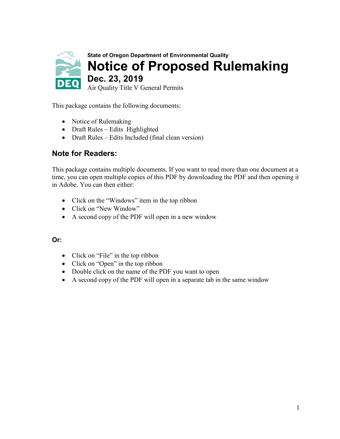

This package contains the following documents:

- Notice of Rulemaking
- Draft Rules Edits Highlighted
- Draft Rules Edits Included (final clean version)

#### **Note for Readers:**

This package contains multiple documents. If you want to read more than one document at a time, you can open multiple copies of this PDF by downloading the PDF and then opening it in Adobe. You can then either:

- Click on the "Windows" item in the top ribbon
- Click on "New Window"
- A second copy of the PDF will open in a new window

#### **Or:**

- Click on "File" in the top ribbon
- Click on "Open" in the top ribbon
- Double click on the name of the PDF you want to open
- A second copy of the PDF will open in a separate tab in the same window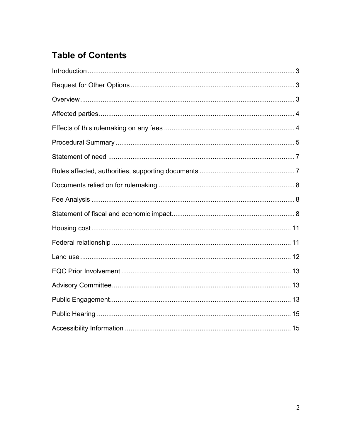## **Table of Contents**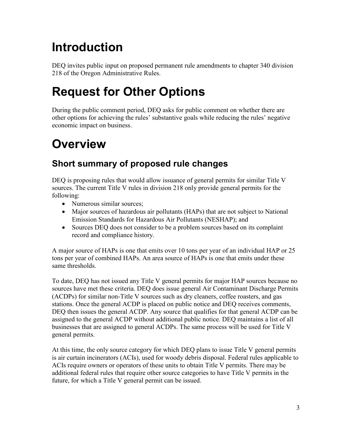# <span id="page-2-0"></span>**Introduction**

DEQ invites public input on proposed permanent rule amendments to chapter 340 division 218 of the Oregon Administrative Rules.

# <span id="page-2-1"></span>**Request for Other Options**

During the public comment period, DEQ asks for public comment on whether there are other options for achieving the rules' substantive goals while reducing the rules' negative economic impact on business.

# <span id="page-2-2"></span>**Overview**

## **Short summary of proposed rule changes**

DEQ is proposing rules that would allow issuance of general permits for similar Title V sources. The current Title V rules in division 218 only provide general permits for the following:

- Numerous similar sources;
- Major sources of hazardous air pollutants (HAPs) that are not subject to National Emission Standards for Hazardous Air Pollutants (NESHAP); and
- Sources DEO does not consider to be a problem sources based on its complaint record and compliance history.

A major source of HAPs is one that emits over 10 tons per year of an individual HAP or 25 tons per year of combined HAPs. An area source of HAPs is one that emits under these same thresholds.

To date, DEQ has not issued any Title V general permits for major HAP sources because no sources have met these criteria. DEQ does issue general Air Contaminant Discharge Permits (ACDPs) for similar non-Title V sources such as dry cleaners, coffee roasters, and gas stations. Once the general ACDP is placed on public notice and DEQ receives comments, DEQ then issues the general ACDP. Any source that qualifies for that general ACDP can be assigned to the general ACDP without additional public notice. DEQ maintains a list of all businesses that are assigned to general ACDPs. The same process will be used for Title V general permits.

At this time, the only source category for which DEQ plans to issue Title V general permits is air curtain incinerators (ACIs), used for woody debris disposal. Federal rules applicable to ACIs require owners or operators of these units to obtain Title V permits. There may be additional federal rules that require other source categories to have Title V permits in the future, for which a Title V general permit can be issued.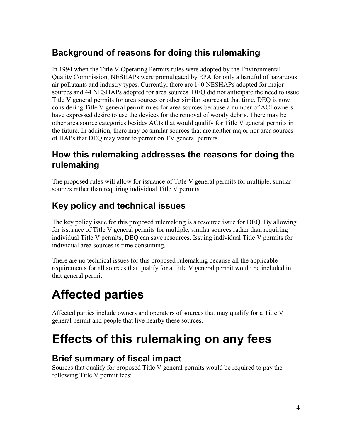## **Background of reasons for doing this rulemaking**

In 1994 when the Title V Operating Permits rules were adopted by the Environmental Quality Commission, NESHAPs were promulgated by EPA for only a handful of hazardous air pollutants and industry types. Currently, there are 140 NESHAPs adopted for major sources and 44 NESHAPs adopted for area sources. DEQ did not anticipate the need to issue Title V general permits for area sources or other similar sources at that time. DEQ is now considering Title V general permit rules for area sources because a number of ACI owners have expressed desire to use the devices for the removal of woody debris. There may be other area source categories besides ACIs that would qualify for Title V general permits in the future. In addition, there may be similar sources that are neither major nor area sources of HAPs that DEQ may want to permit on TV general permits.

## **How this rulemaking addresses the reasons for doing the rulemaking**

The proposed rules will allow for issuance of Title V general permits for multiple, similar sources rather than requiring individual Title V permits.

## **Key policy and technical issues**

The key policy issue for this proposed rulemaking is a resource issue for DEQ. By allowing for issuance of Title V general permits for multiple, similar sources rather than requiring individual Title V permits, DEQ can save resources. Issuing individual Title V permits for individual area sources is time consuming.

There are no technical issues for this proposed rulemaking because all the applicable requirements for all sources that qualify for a Title V general permit would be included in that general permit.

# <span id="page-3-0"></span>**Affected parties**

Affected parties include owners and operators of sources that may qualify for a Title V general permit and people that live nearby these sources.

## <span id="page-3-1"></span>**Effects of this rulemaking on any fees**

## **Brief summary of fiscal impact**

Sources that qualify for proposed Title V general permits would be required to pay the following Title V permit fees: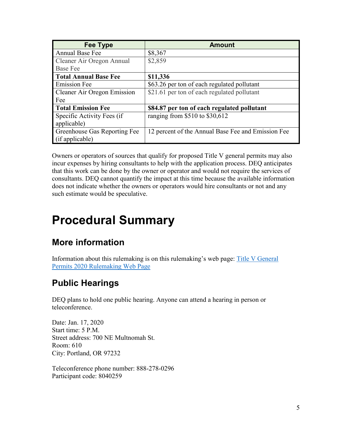| Fee Type                           | <b>Amount</b>                                      |
|------------------------------------|----------------------------------------------------|
| <b>Annual Base Fee</b>             | \$8,367                                            |
| Cleaner Air Oregon Annual          | \$2,859                                            |
| <b>Base Fee</b>                    |                                                    |
| <b>Total Annual Base Fee</b>       | \$11,336                                           |
| <b>Emission Fee</b>                | \$63.26 per ton of each regulated pollutant        |
| <b>Cleaner Air Oregon Emission</b> | \$21.61 per ton of each regulated pollutant        |
| Fee                                |                                                    |
| <b>Total Emission Fee</b>          | \$84.87 per ton of each regulated pollutant        |
| Specific Activity Fees (if         | ranging from $$510$ to $$30,612$                   |
| applicable)                        |                                                    |
| Greenhouse Gas Reporting Fee       | 12 percent of the Annual Base Fee and Emission Fee |
| (if applicable)                    |                                                    |

Owners or operators of sources that qualify for proposed Title V general permits may also incur expenses by hiring consultants to help with the application process. DEQ anticipates that this work can be done by the owner or operator and would not require the services of consultants. DEQ cannot quantify the impact at this time because the available information does not indicate whether the owners or operators would hire consultants or not and any such estimate would be speculative.

## <span id="page-4-0"></span>**Procedural Summary**

## **More information**

Information about this rulemaking is on this rulemaking's web page: [Title V General](https://www.oregon.gov/deq/Regulations/rulemaking/Pages/rTVGP2020.aspx)  [Permits 2020 Rulemaking Web Page](https://www.oregon.gov/deq/Regulations/rulemaking/Pages/rTVGP2020.aspx)

## **Public Hearings**

DEQ plans to hold one public hearing. Anyone can attend a hearing in person or teleconference.

Date: Jan. 17, 2020 Start time: 5 P.M. Street address: 700 NE Multnomah St. Room: 610 City: Portland, OR 97232

Teleconference phone number: 888-278-0296 Participant code: 8040259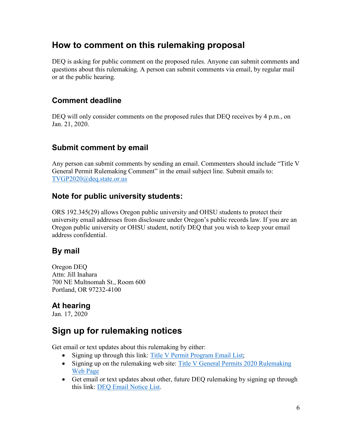### **How to comment on this rulemaking proposal**

DEQ is asking for public comment on the proposed rules. Anyone can submit comments and questions about this rulemaking. A person can submit comments via email, by regular mail or at the public hearing.

### **Comment deadline**

DEQ will only consider comments on the proposed rules that DEQ receives by 4 p.m., on Jan. 21, 2020.

### **Submit comment by email**

Any person can submit comments by sending an email. Commenters should include "Title V General Permit Rulemaking Comment" in the email subject line. Submit emails to: [TVGP2020@deq.state.or.us](mailto:TVGP2020@deq.state.or.us)

#### **Note for public university students:**

ORS 192.345(29) allows Oregon public university and OHSU students to protect their university email addresses from disclosure under Oregon's public records law. If you are an Oregon public university or OHSU student, notify DEQ that you wish to keep your email address confidential.

### **By mail**

Oregon DEQ Attn: Jill Inahara 700 NE Multnomah St., Room 600 Portland, OR 97232-4100

### **At hearing**

Jan. 17, 2020

## **Sign up for rulemaking notices**

Get email or text updates about this rulemaking by either:

- Signing up through this link: [Title V Permit Program Email List;](https://public.govdelivery.com/accounts/ORDEQ/subscriber/new?pop=t&topic_id=ORDEQ_249)
- Signing up on the rulemaking web site: Title V General Permits 2020 Rulemaking [Web Page](https://www.oregon.gov/deq/Regulations/rulemaking/Pages/rTVGP2020.aspx)
- Get email or text updates about other, future DEQ rulemaking by signing up through this link: [DEQ Email Notice List.](https://public.govdelivery.com/accounts/ORDEQ/subscriber/new?pop=t&topic_id=ORDEQ_548)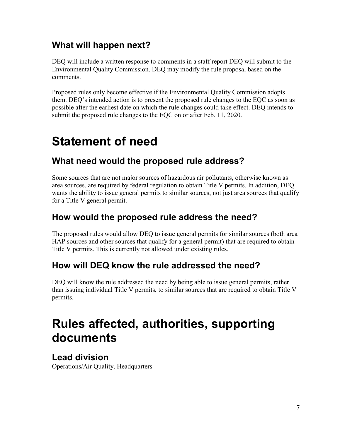## **What will happen next?**

DEQ will include a written response to comments in a staff report DEQ will submit to the Environmental Quality Commission. DEQ may modify the rule proposal based on the comments.

Proposed rules only become effective if the Environmental Quality Commission adopts them. DEQ's intended action is to present the proposed rule changes to the EQC as soon as possible after the earliest date on which the rule changes could take effect. DEQ intends to submit the proposed rule changes to the EQC on or after Feb. 11, 2020.

## <span id="page-6-0"></span>**Statement of need**

## **What need would the proposed rule address?**

Some sources that are not major sources of hazardous air pollutants, otherwise known as area sources, are required by federal regulation to obtain Title V permits. In addition, DEQ wants the ability to issue general permits to similar sources, not just area sources that qualify for a Title V general permit.

## **How would the proposed rule address the need?**

The proposed rules would allow DEQ to issue general permits for similar sources (both area HAP sources and other sources that qualify for a general permit) that are required to obtain Title V permits. This is currently not allowed under existing rules.

## **How will DEQ know the rule addressed the need?**

DEQ will know the rule addressed the need by being able to issue general permits, rather than issuing individual Title V permits, to similar sources that are required to obtain Title V permits.

## <span id="page-6-1"></span>**Rules affected, authorities, supporting documents**

### **Lead division**

Operations/Air Quality, Headquarters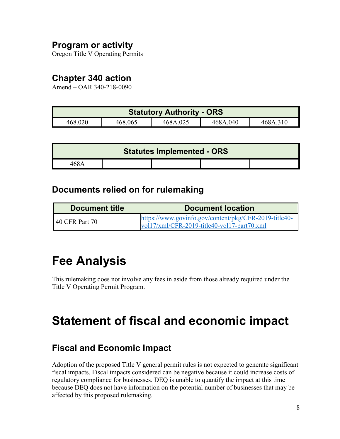### **Program or activity**

Oregon Title V Operating Permits

### **Chapter 340 action**

Amend – OAR 340-218-0090

| <b>Statutory Authority - ORS</b> |         |          |          |          |
|----------------------------------|---------|----------|----------|----------|
| 468.020                          | 468.065 | 468A.025 | 468A.040 | 468A.310 |

|       | <b>Statutes Implemented - ORS</b> |  |
|-------|-----------------------------------|--|
| 468 A |                                   |  |

### <span id="page-7-0"></span>**Documents relied on for rulemaking**

| Document title | <b>Document location</b>                                                                             |
|----------------|------------------------------------------------------------------------------------------------------|
| 40 CFR Part 70 | https://www.govinfo.gov/content/pkg/CFR-2019-title40-<br>vol17/xml/CFR-2019-title40-vol17-part70.xml |

## <span id="page-7-1"></span>**Fee Analysis**

This rulemaking does not involve any fees in aside from those already required under the Title V Operating Permit Program.

## <span id="page-7-2"></span>**Statement of fiscal and economic impact**

## **Fiscal and Economic Impact**

Adoption of the proposed Title V general permit rules is not expected to generate significant fiscal impacts. Fiscal impacts considered can be negative because it could increase costs of regulatory compliance for businesses. DEQ is unable to quantify the impact at this time because DEQ does not have information on the potential number of businesses that may be affected by this proposed rulemaking.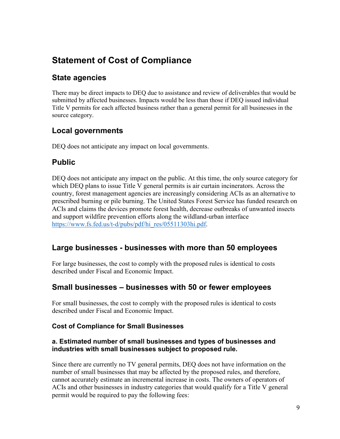## **Statement of Cost of Compliance**

### **State agencies**

There may be direct impacts to DEQ due to assistance and review of deliverables that would be submitted by affected businesses. Impacts would be less than those if DEQ issued individual Title V permits for each affected business rather than a general permit for all businesses in the source category.

### **Local governments**

DEQ does not anticipate any impact on local governments.

### **Public**

DEQ does not anticipate any impact on the public. At this time, the only source category for which DEQ plans to issue Title V general permits is air curtain incinerators. Across the country, forest management agencies are increasingly considering ACIs as an alternative to prescribed burning or pile burning. The United States Forest Service has funded research on ACIs and claims the devices promote forest health, decrease outbreaks of unwanted insects and support wildfire prevention efforts along the wildland-urban interface [https://www.fs.fed.us/t-d/pubs/pdf/hi\\_res/05511303hi.pdf.](https://www.fs.fed.us/t-d/pubs/pdf/hi_res/05511303hi.pdf)

#### **Large businesses - businesses with more than 50 employees**

For large businesses, the cost to comply with the proposed rules is identical to costs described under Fiscal and Economic Impact.

#### **Small businesses – businesses with 50 or fewer employees**

For small businesses, the cost to comply with the proposed rules is identical to costs described under Fiscal and Economic Impact.

#### **Cost of Compliance for Small Businesses**

#### **a. Estimated number of small businesses and types of businesses and industries with small businesses subject to proposed rule.**

Since there are currently no TV general permits, DEQ does not have information on the number of small businesses that may be affected by the proposed rules, and therefore, cannot accurately estimate an incremental increase in costs. The owners of operators of ACIs and other businesses in industry categories that would qualify for a Title V general permit would be required to pay the following fees: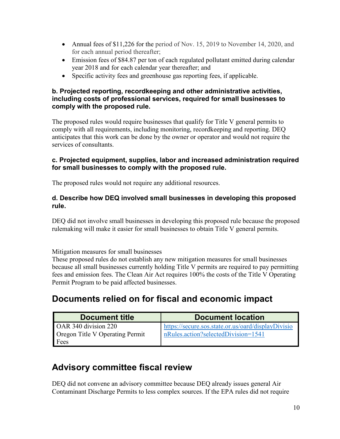- Annual fees of \$11,226 for the period of Nov. 15, 2019 to November 14, 2020, and for each annual period thereafter;
- Emission fees of \$84.87 per ton of each regulated pollutant emitted during calendar year 2018 and for each calendar year thereafter; and
- Specific activity fees and greenhouse gas reporting fees, if applicable.

#### **b. Projected reporting, recordkeeping and other administrative activities, including costs of professional services, required for small businesses to comply with the proposed rule.**

The proposed rules would require businesses that qualify for Title V general permits to comply with all requirements, including monitoring, recordkeeping and reporting. DEQ anticipates that this work can be done by the owner or operator and would not require the services of consultants.

#### **c. Projected equipment, supplies, labor and increased administration required for small businesses to comply with the proposed rule.**

The proposed rules would not require any additional resources.

#### **d. Describe how DEQ involved small businesses in developing this proposed rule.**

DEQ did not involve small businesses in developing this proposed rule because the proposed rulemaking will make it easier for small businesses to obtain Title V general permits.

Mitigation measures for small businesses

These proposed rules do not establish any new mitigation measures for small businesses because all small businesses currently holding Title V permits are required to pay permitting fees and emission fees. The Clean Air Act requires 100% the costs of the Title V Operating Permit Program to be paid affected businesses.

## **Documents relied on for fiscal and economic impact**

| <b>Document title</b>                  | <b>Document location</b>                           |
|----------------------------------------|----------------------------------------------------|
| OAR 340 division 220                   | https://secure.sos.state.or.us/oard/displayDivisio |
| <b>Oregon Title V Operating Permit</b> | nRules.action?selectedDivision=1541                |
| Fees                                   |                                                    |

## **Advisory committee fiscal review**

DEQ did not convene an advisory committee because DEQ already issues general Air Contaminant Discharge Permits to less complex sources. If the EPA rules did not require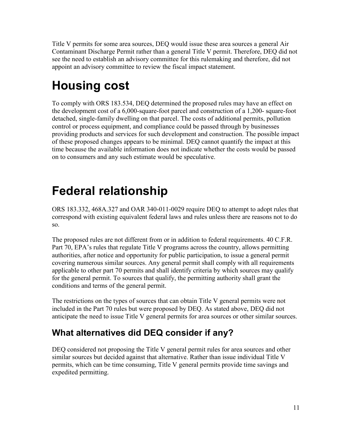Title V permits for some area sources, DEQ would issue these area sources a general Air Contaminant Discharge Permit rather than a general Title V permit. Therefore, DEQ did not see the need to establish an advisory committee for this rulemaking and therefore, did not appoint an advisory committee to review the fiscal impact statement.

# <span id="page-10-0"></span>**Housing cost**

To comply with ORS 183.534, DEQ determined the proposed rules may have an effect on the development cost of a 6,000-square-foot parcel and construction of a 1,200- square-foot detached, single-family dwelling on that parcel. The costs of additional permits, pollution control or process equipment, and compliance could be passed through by businesses providing products and services for such development and construction. The possible impact of these proposed changes appears to be minimal. DEQ cannot quantify the impact at this time because the available information does not indicate whether the costs would be passed on to consumers and any such estimate would be speculative.

# <span id="page-10-1"></span>**Federal relationship**

ORS 183.332, 468A.327 and OAR 340-011-0029 require DEQ to attempt to adopt rules that correspond with existing equivalent federal laws and rules unless there are reasons not to do so.

The proposed rules are not different from or in addition to federal requirements. 40 C.F.R. Part 70, EPA's rules that regulate Title V programs across the country, allows permitting authorities, after notice and opportunity for public participation, to issue a general permit covering numerous similar sources. Any general permit shall comply with all requirements applicable to other part 70 permits and shall identify criteria by which sources may qualify for the general permit. To sources that qualify, the permitting authority shall grant the conditions and terms of the general permit.

The restrictions on the types of sources that can obtain Title V general permits were not included in the Part 70 rules but were proposed by DEQ. As stated above, DEQ did not anticipate the need to issue Title V general permits for area sources or other similar sources.

## **What alternatives did DEQ consider if any?**

DEQ considered not proposing the Title V general permit rules for area sources and other similar sources but decided against that alternative. Rather than issue individual Title V permits, which can be time consuming, Title V general permits provide time savings and expedited permitting.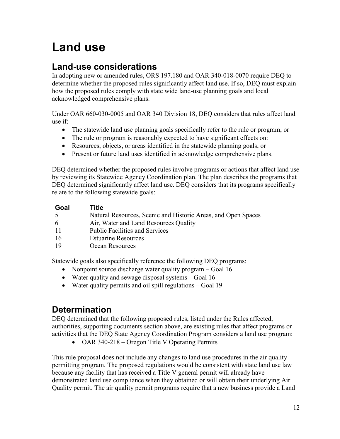# <span id="page-11-0"></span>**Land use**

### **Land-use considerations**

In adopting new or amended rules, ORS 197.180 and OAR 340-018-0070 require DEQ to determine whether the proposed rules significantly affect land use. If so, DEQ must explain how the proposed rules comply with state wide land-use planning goals and local acknowledged comprehensive plans.

Under OAR 660-030-0005 and OAR 340 Division 18, DEQ considers that rules affect land use if:

- The statewide land use planning goals specifically refer to the rule or program, or
- The rule or program is reasonably expected to have significant effects on:
- Resources, objects, or areas identified in the statewide planning goals, or
- Present or future land uses identified in acknowledge comprehensive plans.

DEQ determined whether the proposed rules involve programs or actions that affect land use by reviewing its Statewide Agency Coordination plan. The plan describes the programs that DEQ determined significantly affect land use. DEQ considers that its programs specifically relate to the following statewide goals:

| Goal | Title                                                         |
|------|---------------------------------------------------------------|
| 5    | Natural Resources, Scenic and Historic Areas, and Open Spaces |
| 6    | Air, Water and Land Resources Quality                         |
| 11   | <b>Public Facilities and Services</b>                         |
| 16   | <b>Estuarine Resources</b>                                    |
| 19   | Ocean Resources                                               |

Statewide goals also specifically reference the following DEQ programs:

- Nonpoint source discharge water quality program Goal 16
- Water quality and sewage disposal systems Goal 16
- Water quality permits and oil spill regulations Goal 19

## **Determination**

DEQ determined that the following proposed rules, listed under the Rules affected, authorities, supporting documents section above, are existing rules that affect programs or activities that the DEQ State Agency Coordination Program considers a land use program:

• OAR 340-218 – Oregon Title V Operating Permits

This rule proposal does not include any changes to land use procedures in the air quality permitting program. The proposed regulations would be consistent with state land use law because any facility that has received a Title V general permit will already have demonstrated land use compliance when they obtained or will obtain their underlying Air Quality permit. The air quality permit programs require that a new business provide a Land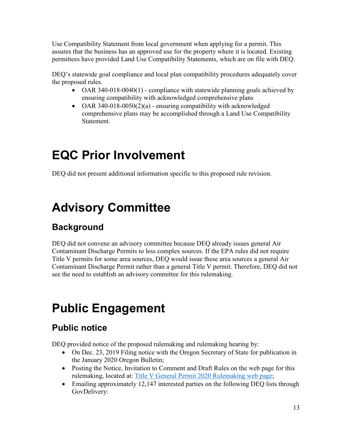Use Compatibility Statement from local government when applying for a permit. This assures that the business has an approved use for the property where it is located. Existing permittees have provided Land Use Compatibility Statements, which are on file with DEQ.

DEQ's statewide goal compliance and local plan compatibility procedures adequately cover the proposed rules.

- OAR 340-018-0040(1) compliance with statewide planning goals achieved by ensuring compatibility with acknowledged comprehensive plans
- OAR 340-018-0050(2)(a) ensuring compatibility with acknowledged comprehensive plans may be accomplished through a Land Use Compatibility Statement.

# <span id="page-12-0"></span>**EQC Prior Involvement**

DEQ did not present additional information specific to this proposed rule revision.

# <span id="page-12-1"></span>**Advisory Committee**

## **Background**

DEQ did not convene an advisory committee because DEQ already issues general Air Contaminant Discharge Permits to less complex sources. If the EPA rules did not require Title V permits for some area sources, DEQ would issue these area sources a general Air Contaminant Discharge Permit rather than a general Title V permit. Therefore, DEQ did not see the need to establish an advisory committee for this rulemaking.

## <span id="page-12-2"></span>**Public Engagement**

## **Public notice**

DEQ provided notice of the proposed rulemaking and rulemaking hearing by:

- On Dec. 23, 2019 Filing notice with the Oregon Secretary of State for publication in the January 2020 Oregon Bulletin;
- Posting the Notice, Invitation to Comment and Draft Rules on the web page for this rulemaking, located at: [Title V General Permit 2020 Rulemaking web page;](https://www.oregon.gov/deq/Regulations/rulemaking/Pages/rTVGP2020.aspx)
- Emailing approximately 12,147 interested parties on the following DEQ lists through GovDelivery: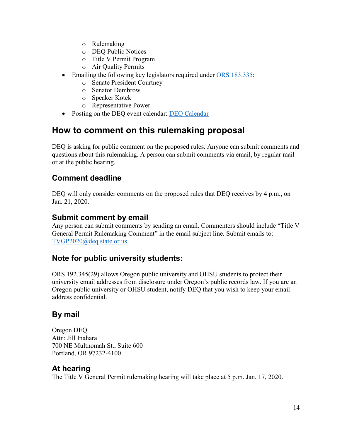- o Rulemaking
- o DEQ Public Notices
- o Title V Permit Program
- o Air Quality Permits
- Emailing the following key legislators required under [ORS 183.335:](http://www.leg.state.or.us/ors/183.html)
	- o Senate President Courtney
	- o Senator Dembrow
	- o Speaker Kotek
	- o Representative Power
- Posting on the DEO event calendar: DEO Calendar

### **How to comment on this rulemaking proposal**

DEQ is asking for public comment on the proposed rules. Anyone can submit comments and questions about this rulemaking. A person can submit comments via email, by regular mail or at the public hearing.

#### **Comment deadline**

DEQ will only consider comments on the proposed rules that DEQ receives by 4 p.m., on Jan. 21, 2020.

#### **Submit comment by email**

Any person can submit comments by sending an email. Commenters should include "Title V General Permit Rulemaking Comment" in the email subject line. Submit emails to: [TVGP2020@deq.state.or.us](mailto:TVGP2020@deq.state.or.us)

### **Note for public university students:**

ORS 192.345(29) allows Oregon public university and OHSU students to protect their university email addresses from disclosure under Oregon's public records law. If you are an Oregon public university or OHSU student, notify DEQ that you wish to keep your email address confidential.

#### **By mail**

Oregon DEQ Attn: Jill Inahara 700 NE Multnomah St., Suite 600 Portland, OR 97232-4100

#### **At hearing**

The Title V General Permit rulemaking hearing will take place at 5 p.m. Jan. 17, 2020.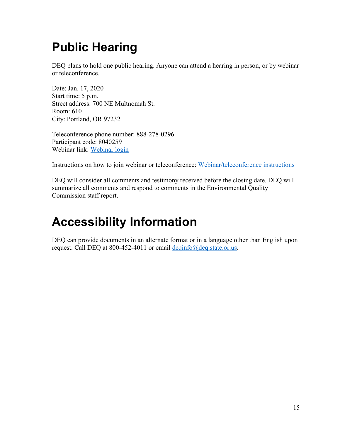# <span id="page-14-0"></span>**Public Hearing**

DEQ plans to hold one public hearing. Anyone can attend a hearing in person, or by webinar or teleconference.

Date: Jan. 17, 2020 Start time: 5 p.m. Street address: 700 NE Multnomah St. Room: 610 City: Portland, OR 97232

Teleconference phone number: 888-278-0296 Participant code: 8040259 Webinar link: [Webinar login](https://www.teleconference.att.com/servlet/AWMlogin)

Instructions on how to join webinar or teleconference: [Webinar/teleconference instructions](https://www.oregon.gov/deq/Rulemaking%20Docs/participantlinklog.pdf)

DEQ will consider all comments and testimony received before the closing date. DEQ will summarize all comments and respond to comments in the Environmental Quality Commission staff report.

# <span id="page-14-1"></span>**Accessibility Information**

DEQ can provide documents in an alternate format or in a language other than English upon request. Call DEQ at 800-452-4011 or email [deqinfo@deq.state.or.us.](mailto:deqinfo@deq.state.or.us)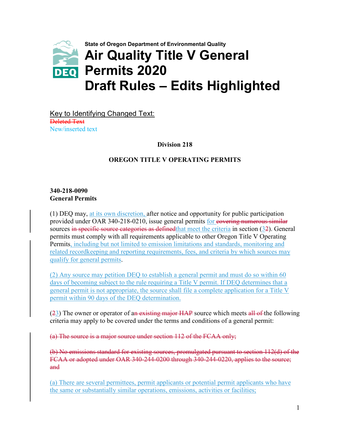

Key to Identifying Changed Text: Deleted Text New/inserted text

**Division 218**

#### **OREGON TITLE V OPERATING PERMITS**

#### **340-218-0090 General Permits**

(1) DEQ may, at its own discretion, after notice and opportunity for public participation provided under OAR 340-218-0210, issue general permits for covering numerous similar sources in specific source categories as defined that meet the criteria in section (32). General permits must comply with all requirements applicable to other Oregon Title V Operating Permits, including but not limited to emission limitations and standards, monitoring and related recordkeeping and reporting requirements, fees, and criteria by which sources may qualify for general permits.

(2) Any source may petition DEQ to establish a general permit and must do so within 60 days of becoming subject to the rule requiring a Title V permit. If DEQ determines that a general permit is not appropriate, the source shall file a complete application for a Title V permit within 90 days of the DEQ determination.

 $(23)$  The owner or operator of an existing major HAP source which meets all of the following criteria may apply to be covered under the terms and conditions of a general permit:

(a) The source is a major source under section 112 of the FCAA only;

(b) No emissions standard for existing sources, promulgated pursuant to section 112(d) of the FCAA or adopted under OAR 340-244-0200 through 340-244-0220, applies to the source; and

(a) There are several permittees, permit applicants or potential permit applicants who have the same or substantially similar operations, emissions, activities or facilities;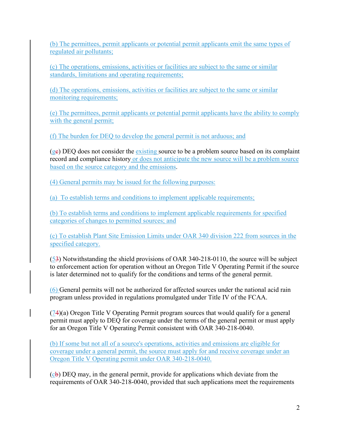(b) The permittees, permit applicants or potential permit applicants emit the same types of regulated air pollutants;

(c) The operations, emissions, activities or facilities are subject to the same or similar standards, limitations and operating requirements;

(d) The operations, emissions, activities or facilities are subject to the same or similar monitoring requirements;

(e) The permittees, permit applicants or potential permit applicants have the ability to comply with the general permit;

(f) The burden for DEQ to develop the general permit is not arduous; and

 $(g<sub>e</sub>)$  DEQ does not consider the existing source to be a problem source based on its complaint record and compliance history or does not anticipate the new source will be a problem source based on the source category and the emissions.

(4) General permits may be issued for the following purposes:

(a) To establish terms and conditions to implement applicable requirements;

(b) To establish terms and conditions to implement applicable requirements for specified categories of changes to permitted sources; and

(c) To establish Plant Site Emission Limits under OAR 340 division 222 from sources in the specified category.

(53) Notwithstanding the shield provisions of OAR 340-218-0110, the source will be subject to enforcement action for operation without an Oregon Title V Operating Permit if the source is later determined not to qualify for the conditions and terms of the general permit.

(6) General permits will not be authorized for affected sources under the national acid rain program unless provided in regulations promulgated under Title IV of the FCAA.

(74)(a) Oregon Title V Operating Permit program sources that would qualify for a general permit must apply to DEQ for coverage under the terms of the general permit or must apply for an Oregon Title V Operating Permit consistent with OAR 340-218-0040.

(b) If some but not all of a source's operations, activities and emissions are eligible for coverage under a general permit, the source must apply for and receive coverage under an Oregon Title V Operating permit under OAR 340-218-0040.

 $(c<sub>b</sub>)$  DEQ may, in the general permit, provide for applications which deviate from the requirements of OAR 340-218-0040, provided that such applications meet the requirements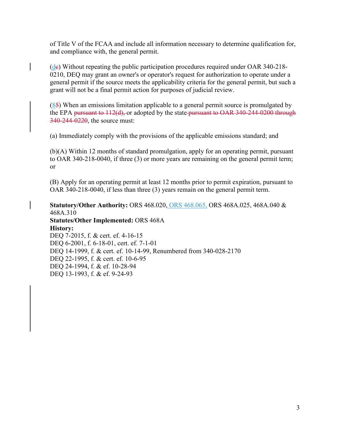of Title V of the FCAA and include all information necessary to determine qualification for, and compliance with, the general permit.

 $(de)$  Without repeating the public participation procedures required under OAR 340-218-0210, DEQ may grant an owner's or operator's request for authorization to operate under a general permit if the source meets the applicability criteria for the general permit, but such a grant will not be a final permit action for purposes of judicial review.

 $(85)$  When an emissions limitation applicable to a general permit source is promulgated by the EPA pursuant to 112(d), or adopted by the state-pursuant to OAR 340-244-0200 through 340-244-0220, the source must:

(a) Immediately comply with the provisions of the applicable emissions standard; and

(b)(A) Within 12 months of standard promulgation, apply for an operating permit, pursuant to OAR 340-218-0040, if three (3) or more years are remaining on the general permit term; or

(B) Apply for an operating permit at least 12 months prior to permit expiration, pursuant to OAR 340-218-0040, if less than three (3) years remain on the general permit term.

**Statutory/Other Authority:** ORS 468.020, ORS 468.065, ORS 468A.025, 468A.040 & 468A.310 **Statutes/Other Implemented:** ORS 468A **History:** DEQ 7-2015, f. & cert. ef. 4-16-15 DEQ 6-2001, f. 6-18-01, cert. ef. 7-1-01 DEQ 14-1999, f. & cert. ef. 10-14-99, Renumbered from 340-028-2170 DEQ 22-1995, f. & cert. ef. 10-6-95 DEQ 24-1994, f. & ef. 10-28-94 DEQ 13-1993, f. & ef. 9-24-93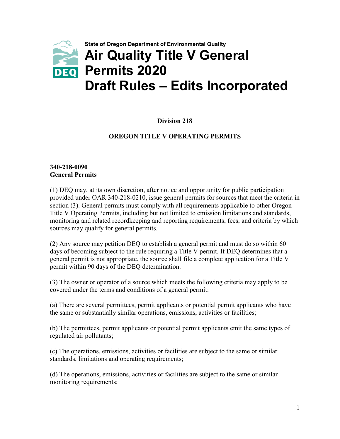

#### **Division 218**

#### **OREGON TITLE V OPERATING PERMITS**

#### **340-218-0090 General Permits**

(1) DEQ may, at its own discretion, after notice and opportunity for public participation provided under OAR 340-218-0210, issue general permits for sources that meet the criteria in section (3). General permits must comply with all requirements applicable to other Oregon Title V Operating Permits, including but not limited to emission limitations and standards, monitoring and related recordkeeping and reporting requirements, fees, and criteria by which sources may qualify for general permits.

(2) Any source may petition DEQ to establish a general permit and must do so within 60 days of becoming subject to the rule requiring a Title V permit. If DEQ determines that a general permit is not appropriate, the source shall file a complete application for a Title V permit within 90 days of the DEQ determination.

(3) The owner or operator of a source which meets the following criteria may apply to be covered under the terms and conditions of a general permit:

(a) There are several permittees, permit applicants or potential permit applicants who have the same or substantially similar operations, emissions, activities or facilities;

(b) The permittees, permit applicants or potential permit applicants emit the same types of regulated air pollutants;

(c) The operations, emissions, activities or facilities are subject to the same or similar standards, limitations and operating requirements;

(d) The operations, emissions, activities or facilities are subject to the same or similar monitoring requirements;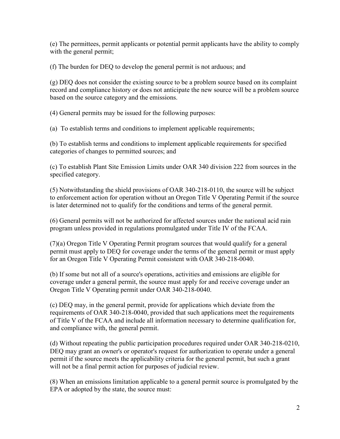(e) The permittees, permit applicants or potential permit applicants have the ability to comply with the general permit;

(f) The burden for DEQ to develop the general permit is not arduous; and

(g) DEQ does not consider the existing source to be a problem source based on its complaint record and compliance history or does not anticipate the new source will be a problem source based on the source category and the emissions.

(4) General permits may be issued for the following purposes:

(a) To establish terms and conditions to implement applicable requirements;

(b) To establish terms and conditions to implement applicable requirements for specified categories of changes to permitted sources; and

(c) To establish Plant Site Emission Limits under OAR 340 division 222 from sources in the specified category.

(5) Notwithstanding the shield provisions of OAR 340-218-0110, the source will be subject to enforcement action for operation without an Oregon Title V Operating Permit if the source is later determined not to qualify for the conditions and terms of the general permit.

(6) General permits will not be authorized for affected sources under the national acid rain program unless provided in regulations promulgated under Title IV of the FCAA.

(7)(a) Oregon Title V Operating Permit program sources that would qualify for a general permit must apply to DEQ for coverage under the terms of the general permit or must apply for an Oregon Title V Operating Permit consistent with OAR 340-218-0040.

(b) If some but not all of a source's operations, activities and emissions are eligible for coverage under a general permit, the source must apply for and receive coverage under an Oregon Title V Operating permit under OAR 340-218-0040.

(c) DEQ may, in the general permit, provide for applications which deviate from the requirements of OAR 340-218-0040, provided that such applications meet the requirements of Title V of the FCAA and include all information necessary to determine qualification for, and compliance with, the general permit.

(d) Without repeating the public participation procedures required under OAR 340-218-0210, DEQ may grant an owner's or operator's request for authorization to operate under a general permit if the source meets the applicability criteria for the general permit, but such a grant will not be a final permit action for purposes of judicial review.

(8) When an emissions limitation applicable to a general permit source is promulgated by the EPA or adopted by the state, the source must: